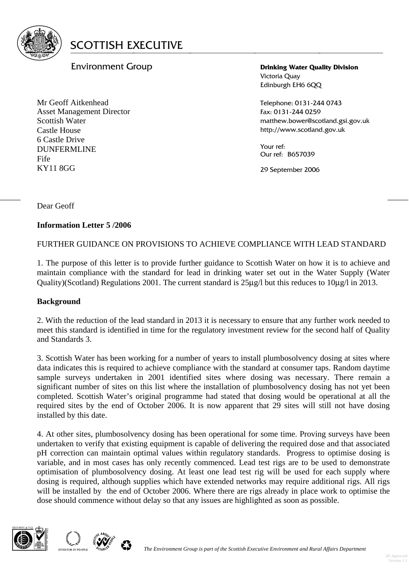

# Environment Group

Mr Geoff Aitkenhead Asset Management Director Scottish Water Castle House 6 Castle Drive DUNFERMLINE Fife KY11 8GG

**Drinking Water Quality Division**  Victoria Quay Edinburgh EH6 6QQ

Telephone: 0131-244 0743 Fax: 0131-244 0259 matthew.bower@scotland.gsi.gov.uk http://www.scotland.gov.uk

Your ref: Our ref: B657039

29 September 2006

Dear Geoff

## **Information Letter 5 /2006**

FURTHER GUIDANCE ON PROVISIONS TO ACHIEVE COMPLIANCE WITH LEAD STANDARD

 $\frac{1}{2}$  , and the contract of the contract of the contract of the contract of the contract of the contract of the contract of the contract of the contract of the contract of the contract of the contract of the contract

1. The purpose of this letter is to provide further guidance to Scottish Water on how it is to achieve and maintain compliance with the standard for lead in drinking water set out in the Water Supply (Water Quality)(Scotland) Regulations 2001. The current standard is 25μg/l but this reduces to 10μg/l in 2013.

## **Background**

2. With the reduction of the lead standard in 2013 it is necessary to ensure that any further work needed to meet this standard is identified in time for the regulatory investment review for the second half of Quality and Standards 3.

3. Scottish Water has been working for a number of years to install plumbosolvency dosing at sites where data indicates this is required to achieve compliance with the standard at consumer taps. Random daytime sample surveys undertaken in 2001 identified sites where dosing was necessary. There remain a significant number of sites on this list where the installation of plumbosolvency dosing has not yet been completed. Scottish Water's original programme had stated that dosing would be operational at all the required sites by the end of October 2006. It is now apparent that 29 sites will still not have dosing installed by this date.

4. At other sites, plumbosolvency dosing has been operational for some time. Proving surveys have been undertaken to verify that existing equipment is capable of delivering the required dose and that associated pH correction can maintain optimal values within regulatory standards. Progress to optimise dosing is variable, and in most cases has only recently commenced. Lead test rigs are to be used to demonstrate optimisation of plumbosolvency dosing. At least one lead test rig will be used for each supply where dosing is required, although supplies which have extended networks may require additional rigs. All rigs will be installed by the end of October 2006. Where there are rigs already in place work to optimise the dose should commence without delay so that any issues are highlighted as soon as possible.



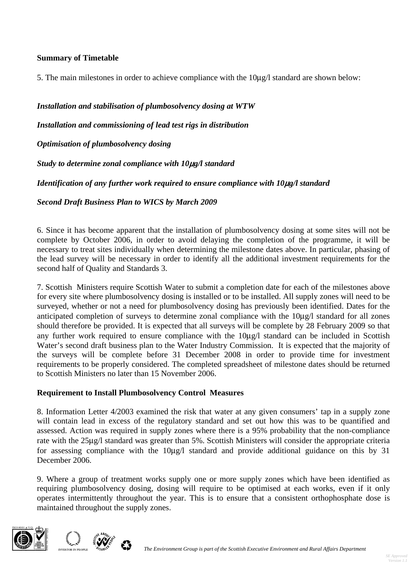## **Summary of Timetable**

5. The main milestones in order to achieve compliance with the 10μg/l standard are shown below:

*Installation and stabilisation of plumbosolvency dosing at WTW* 

*Installation and commissioning of lead test rigs in distribution* 

*Optimisation of plumbosolvency dosing* 

*Study to determine zonal compliance with 10*μ*g/l standard* 

*Identification of any further work required to ensure compliance with 10*μ*g/l standard* 

*Second Draft Business Plan to WICS by March 2009* 

6. Since it has become apparent that the installation of plumbosolvency dosing at some sites will not be complete by October 2006, in order to avoid delaying the completion of the programme, it will be necessary to treat sites individually when determining the milestone dates above. In particular, phasing of the lead survey will be necessary in order to identify all the additional investment requirements for the second half of Quality and Standards 3.

7. Scottish Ministers require Scottish Water to submit a completion date for each of the milestones above for every site where plumbosolvency dosing is installed or to be installed. All supply zones will need to be surveyed, whether or not a need for plumbosolvency dosing has previously been identified. Dates for the anticipated completion of surveys to determine zonal compliance with the 10μg/l standard for all zones should therefore be provided. It is expected that all surveys will be complete by 28 February 2009 so that any further work required to ensure compliance with the 10μg/l standard can be included in Scottish Water's second draft business plan to the Water Industry Commission. It is expected that the majority of the surveys will be complete before 31 December 2008 in order to provide time for investment requirements to be properly considered. The completed spreadsheet of milestone dates should be returned to Scottish Ministers no later than 15 November 2006.

#### **Requirement to Install Plumbosolvency Control Measures**

8. Information Letter 4/2003 examined the risk that water at any given consumers' tap in a supply zone will contain lead in excess of the regulatory standard and set out how this was to be quantified and assessed. Action was required in supply zones where there is a 95% probability that the non-compliance rate with the 25μg/l standard was greater than 5%. Scottish Ministers will consider the appropriate criteria for assessing compliance with the 10μg/l standard and provide additional guidance on this by 31 December 2006.

9. Where a group of treatment works supply one or more supply zones which have been identified as requiring plumbosolvency dosing, dosing will require to be optimised at each works, even if it only operates intermittently throughout the year. This is to ensure that a consistent orthophosphate dose is maintained throughout the supply zones.



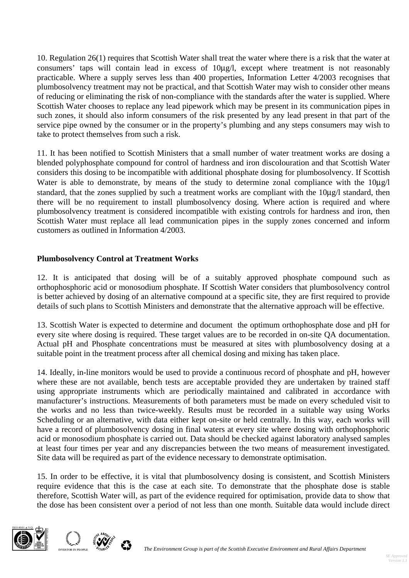10. Regulation 26(1) requires that Scottish Water shall treat the water where there is a risk that the water at consumers' taps will contain lead in excess of 10μg/l, except where treatment is not reasonably practicable. Where a supply serves less than 400 properties, Information Letter 4/2003 recognises that plumbosolvency treatment may not be practical, and that Scottish Water may wish to consider other means of reducing or eliminating the risk of non-compliance with the standards after the water is supplied. Where Scottish Water chooses to replace any lead pipework which may be present in its communication pipes in such zones, it should also inform consumers of the risk presented by any lead present in that part of the service pipe owned by the consumer or in the property's plumbing and any steps consumers may wish to take to protect themselves from such a risk.

11. It has been notified to Scottish Ministers that a small number of water treatment works are dosing a blended polyphosphate compound for control of hardness and iron discolouration and that Scottish Water considers this dosing to be incompatible with additional phosphate dosing for plumbosolvency. If Scottish Water is able to demonstrate, by means of the study to determine zonal compliance with the 10μg/l standard, that the zones supplied by such a treatment works are compliant with the 10ug/l standard, then there will be no requirement to install plumbosolvency dosing. Where action is required and where plumbosolvency treatment is considered incompatible with existing controls for hardness and iron, then Scottish Water must replace all lead communication pipes in the supply zones concerned and inform customers as outlined in Information 4/2003.

## **Plumbosolvency Control at Treatment Works**

12. It is anticipated that dosing will be of a suitably approved phosphate compound such as orthophosphoric acid or monosodium phosphate. If Scottish Water considers that plumbosolvency control is better achieved by dosing of an alternative compound at a specific site, they are first required to provide details of such plans to Scottish Ministers and demonstrate that the alternative approach will be effective.

13. Scottish Water is expected to determine and document the optimum orthophosphate dose and pH for every site where dosing is required. These target values are to be recorded in on-site QA documentation. Actual pH and Phosphate concentrations must be measured at sites with plumbosolvency dosing at a suitable point in the treatment process after all chemical dosing and mixing has taken place.

14. Ideally, in-line monitors would be used to provide a continuous record of phosphate and pH, however where these are not available, bench tests are acceptable provided they are undertaken by trained staff using appropriate instruments which are periodically maintained and calibrated in accordance with manufacturer's instructions. Measurements of both parameters must be made on every scheduled visit to the works and no less than twice-weekly. Results must be recorded in a suitable way using Works Scheduling or an alternative, with data either kept on-site or held centrally. In this way, each works will have a record of plumbosolvency dosing in final waters at every site where dosing with orthophosphoric acid or monosodium phosphate is carried out. Data should be checked against laboratory analysed samples at least four times per year and any discrepancies between the two means of measurement investigated. Site data will be required as part of the evidence necessary to demonstrate optimisation.

15. In order to be effective, it is vital that plumbosolvency dosing is consistent, and Scottish Ministers require evidence that this is the case at each site. To demonstrate that the phosphate dose is stable therefore, Scottish Water will, as part of the evidence required for optimisation, provide data to show that the dose has been consistent over a period of not less than one month. Suitable data would include direct



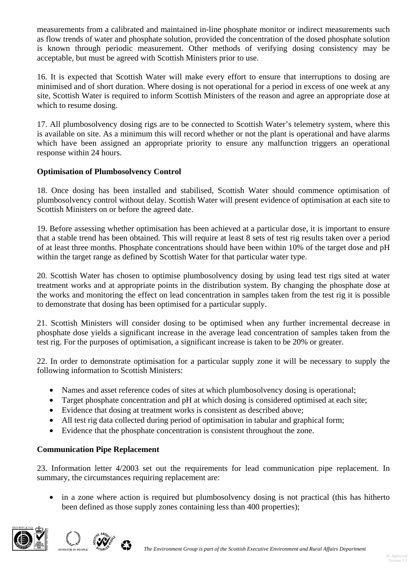measurements from a calibrated and maintained in-line phosphate monitor or indirect measurements such as flow trends of water and phosphate solution, provided the concentration of the dosed phosphate solution is known through periodic measurement. Other methods of verifying dosing consistency may be acceptable, but must be agreed with Scottish Ministers prior to use.

16. It is expected that Scottish Water will make every effort to ensure that interruptions to dosing are minimised and of short duration. Where dosing is not operational for a period in excess of one week at any site, Scottish Water is required to inform Scottish Ministers of the reason and agree an appropriate dose at which to resume dosing.

17. All plumbosolvency dosing rigs are to be connected to Scottish Water's telemetry system, where this is available on site. As a minimum this will record whether or not the plant is operational and have alarms which have been assigned an appropriate priority to ensure any malfunction triggers an operational response within 24 hours.

## **Optimisation of Plumbosolvency Control**

18. Once dosing has been installed and stabilised, Scottish Water should commence optimisation of plumbosolvency control without delay. Scottish Water will present evidence of optimisation at each site to Scottish Ministers on or before the agreed date.

19. Before assessing whether optimisation has been achieved at a particular dose, it is important to ensure that a stable trend has been obtained. This will require at least 8 sets of test rig results taken over a period of at least three months. Phosphate concentrations should have been within 10% of the target dose and pH within the target range as defined by Scottish Water for that particular water type.

20. Scottish Water has chosen to optimise plumbosolvency dosing by using lead test rigs sited at water treatment works and at appropriate points in the distribution system. By changing the phosphate dose at the works and monitoring the effect on lead concentration in samples taken from the test rig it is possible to demonstrate that dosing has been optimised for a particular supply.

21. Scottish Ministers will consider dosing to be optimised when any further incremental decrease in phosphate dose yields a significant increase in the average lead concentration of samples taken from the test rig. For the purposes of optimisation, a significant increase is taken to be 20% or greater.

22. In order to demonstrate optimisation for a particular supply zone it will be necessary to supply the following information to Scottish Ministers:

- Names and asset reference codes of sites at which plumbosolvency dosing is operational;
- Target phosphate concentration and pH at which dosing is considered optimised at each site;
- Evidence that dosing at treatment works is consistent as described above:
- All test rig data collected during period of optimisation in tabular and graphical form;
- Evidence that the phosphate concentration is consistent throughout the zone.

## **Communication Pipe Replacement**

23. Information letter 4/2003 set out the requirements for lead communication pipe replacement. In summary, the circumstances requiring replacement are:

• in a zone where action is required but plumbosolvency dosing is not practical (this has hitherto been defined as those supply zones containing less than 400 properties);



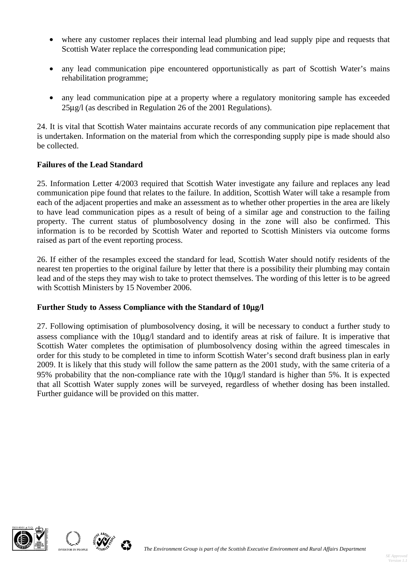- where any customer replaces their internal lead plumbing and lead supply pipe and requests that Scottish Water replace the corresponding lead communication pipe;
- any lead communication pipe encountered opportunistically as part of Scottish Water's mains rehabilitation programme;
- any lead communication pipe at a property where a regulatory monitoring sample has exceeded 25μg/l (as described in Regulation 26 of the 2001 Regulations).

24. It is vital that Scottish Water maintains accurate records of any communication pipe replacement that is undertaken. Information on the material from which the corresponding supply pipe is made should also be collected.

## **Failures of the Lead Standard**

25. Information Letter 4/2003 required that Scottish Water investigate any failure and replaces any lead communication pipe found that relates to the failure. In addition, Scottish Water will take a resample from each of the adjacent properties and make an assessment as to whether other properties in the area are likely to have lead communication pipes as a result of being of a similar age and construction to the failing property. The current status of plumbosolvency dosing in the zone will also be confirmed. This information is to be recorded by Scottish Water and reported to Scottish Ministers via outcome forms raised as part of the event reporting process.

26. If either of the resamples exceed the standard for lead, Scottish Water should notify residents of the nearest ten properties to the original failure by letter that there is a possibility their plumbing may contain lead and of the steps they may wish to take to protect themselves. The wording of this letter is to be agreed with Scottish Ministers by 15 November 2006.

## **Further Study to Assess Compliance with the Standard of 10**μ**g/l**

27. Following optimisation of plumbosolvency dosing, it will be necessary to conduct a further study to assess compliance with the 10μg/l standard and to identify areas at risk of failure. It is imperative that Scottish Water completes the optimisation of plumbosolvency dosing within the agreed timescales in order for this study to be completed in time to inform Scottish Water's second draft business plan in early 2009. It is likely that this study will follow the same pattern as the 2001 study, with the same criteria of a 95% probability that the non-compliance rate with the 10μg/l standard is higher than 5%. It is expected that all Scottish Water supply zones will be surveyed, regardless of whether dosing has been installed. Further guidance will be provided on this matter.